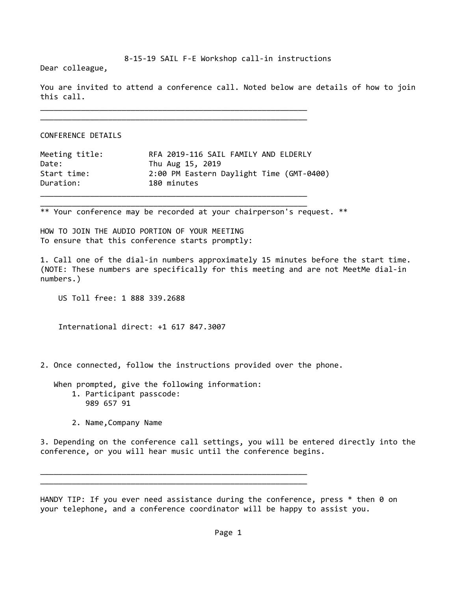## 8‐15‐19 SAIL F‐E Workshop call‐in instructions

Dear colleague,

You are invited to attend a conference call. Noted below are details of how to join this call.

\_\_\_\_\_\_\_\_\_\_\_\_\_\_\_\_\_\_\_\_\_\_\_\_\_\_\_\_\_\_\_\_\_\_\_\_\_\_\_\_\_\_\_\_\_\_\_\_\_\_\_\_\_\_\_\_\_\_\_

CONFERENCE DETAILS

| Meeting title: | RFA 2019-116 SAIL FAMILY AND ELDERLY     |
|----------------|------------------------------------------|
| Date:          | Thu Aug 15, 2019                         |
| Start time:    | 2:00 PM Eastern Daylight Time (GMT-0400) |
| Duration:      | 180 minutes                              |

\_\_\_\_\_\_\_\_\_\_\_\_\_\_\_\_\_\_\_\_\_\_\_\_\_\_\_\_\_\_\_\_\_\_\_\_\_\_\_\_\_\_\_\_\_\_\_\_\_\_\_\_\_\_\_\_\_\_\_ \_\_\_\_\_\_\_\_\_\_\_\_\_\_\_\_\_\_\_\_\_\_\_\_\_\_\_\_\_\_\_\_\_\_\_\_\_\_\_\_\_\_\_\_\_\_\_\_\_\_\_\_\_\_\_\_\_\_\_

\_\_\_\_\_\_\_\_\_\_\_\_\_\_\_\_\_\_\_\_\_\_\_\_\_\_\_\_\_\_\_\_\_\_\_\_\_\_\_\_\_\_\_\_\_\_\_\_\_\_\_\_\_\_\_\_\_\_\_

\*\* Your conference may be recorded at your chairperson's request. \*\*

HOW TO JOIN THE AUDIO PORTION OF YOUR MEETING To ensure that this conference starts promptly:

1. Call one of the dial‐in numbers approximately 15 minutes before the start time. (NOTE: These numbers are specifically for this meeting and are not MeetMe dial‐in numbers.)

US Toll free: 1 888 339.2688

International direct: +1 617 847.3007

2. Once connected, follow the instructions provided over the phone.

 When prompted, give the following information: 1. Participant passcode: 989 657 91

\_\_\_\_\_\_\_\_\_\_\_\_\_\_\_\_\_\_\_\_\_\_\_\_\_\_\_\_\_\_\_\_\_\_\_\_\_\_\_\_\_\_\_\_\_\_\_\_\_\_\_\_\_\_\_\_\_\_\_ \_\_\_\_\_\_\_\_\_\_\_\_\_\_\_\_\_\_\_\_\_\_\_\_\_\_\_\_\_\_\_\_\_\_\_\_\_\_\_\_\_\_\_\_\_\_\_\_\_\_\_\_\_\_\_\_\_\_\_

2. Name,Company Name

3. Depending on the conference call settings, you will be entered directly into the conference, or you will hear music until the conference begins.

HANDY TIP: If you ever need assistance during the conference, press  $*$  then 0 on your telephone, and a conference coordinator will be happy to assist you.